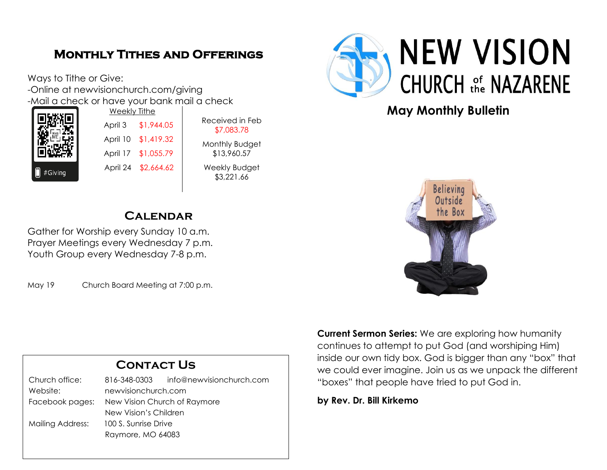## **Monthly Tithes and Offerings**

Ways to Tithe or Give: -Online at newvisionchurch.com/giving -Mail a check or have your bank mail a check



Weekly Tithe April 3 \$1,944.05 April 10 \$1,419.32 April 17 \$1,055.79 April 24 \$2,664.62

Received in Feb \$7,083.78 Monthly Budget \$13,960.57 Weekly Budget \$3,221.66

## **Calendar**

Gather for Worship every Sunday 10 a.m. Prayer Meetings every Wednesday 7 p.m. Youth Group every Wednesday 7-8 p.m.

May 19 Church Board Meeting at 7:00 p.m.

| <b>CONTACT US</b>       |                              |                          |
|-------------------------|------------------------------|--------------------------|
| Church office:          | 816-348-0303                 | info@newvisionchurch.com |
| Website:                | newvisionchurch.com          |                          |
| Facebook pages:         | New Vision Church of Raymore |                          |
|                         | New Vision's Children        |                          |
| <b>Mailing Address:</b> | 100 S. Sunrise Drive         |                          |
|                         | Raymore, MO 64083            |                          |



## **May Monthly Bulletin**



**Current Sermon Series:** We are exploring how humanity continues to attempt to put God (and worshiping Him) inside our own tidy box. God is bigger than any "box" that we could ever imagine. Join us as we unpack the different "boxes" that people have tried to put God in.

**by Rev. Dr. Bill Kirkemo**